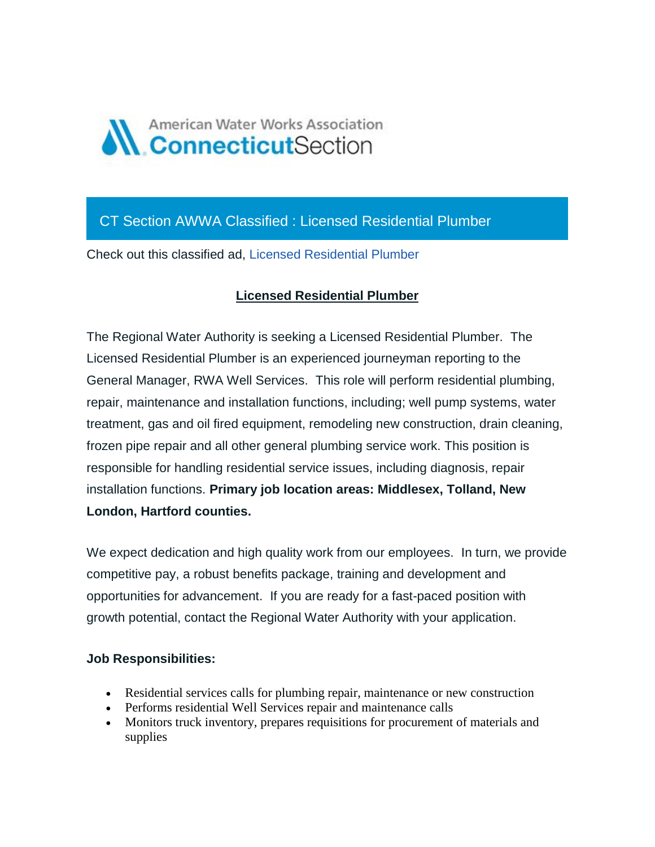

## CT Section AWWA Classified : Licensed Residential Plumber

Check out this classified ad, [Licensed Residential Plumber](https://ctawwa.org/ad-click.php?record_number=416&url=classifieds.php?record_number=416&source=email)

## **Licensed Residential Plumber**

The Regional Water Authority is seeking a Licensed Residential Plumber. The Licensed Residential Plumber is an experienced journeyman reporting to the General Manager, RWA Well Services. This role will perform residential plumbing, repair, maintenance and installation functions, including; well pump systems, water treatment, gas and oil fired equipment, remodeling new construction, drain cleaning, frozen pipe repair and all other general plumbing service work. This position is responsible for handling residential service issues, including diagnosis, repair installation functions. **Primary job location areas: Middlesex, Tolland, New London, Hartford counties.**

We expect dedication and high quality work from our employees. In turn, we provide competitive pay, a robust benefits package, training and development and opportunities for advancement. If you are ready for a fast-paced position with growth potential, contact the Regional Water Authority with your application.

## **Job Responsibilities:**

- Residential services calls for plumbing repair, maintenance or new construction
- Performs residential Well Services repair and maintenance calls
- Monitors truck inventory, prepares requisitions for procurement of materials and supplies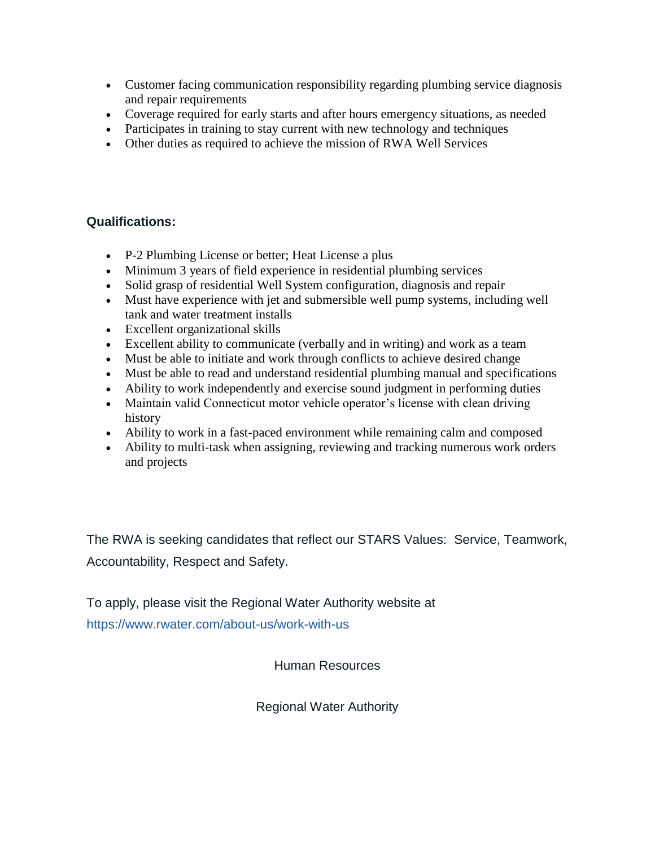- Customer facing communication responsibility regarding plumbing service diagnosis and repair requirements
- Coverage required for early starts and after hours emergency situations, as needed
- Participates in training to stay current with new technology and techniques
- Other duties as required to achieve the mission of RWA Well Services

## **Qualifications:**

- P-2 Plumbing License or better; Heat License a plus
- Minimum 3 years of field experience in residential plumbing services
- Solid grasp of residential Well System configuration, diagnosis and repair
- Must have experience with jet and submersible well pump systems, including well tank and water treatment installs
- Excellent organizational skills
- Excellent ability to communicate (verbally and in writing) and work as a team
- Must be able to initiate and work through conflicts to achieve desired change
- Must be able to read and understand residential plumbing manual and specifications
- Ability to work independently and exercise sound judgment in performing duties
- Maintain valid Connecticut motor vehicle operator's license with clean driving history
- Ability to work in a fast-paced environment while remaining calm and composed
- Ability to multi-task when assigning, reviewing and tracking numerous work orders and projects

The RWA is seeking candidates that reflect our STARS Values: Service, Teamwork, Accountability, Respect and Safety.

To apply, please visit the Regional Water Authority website at <https://www.rwater.com/about-us/work-with-us>

Human Resources

Regional Water Authority